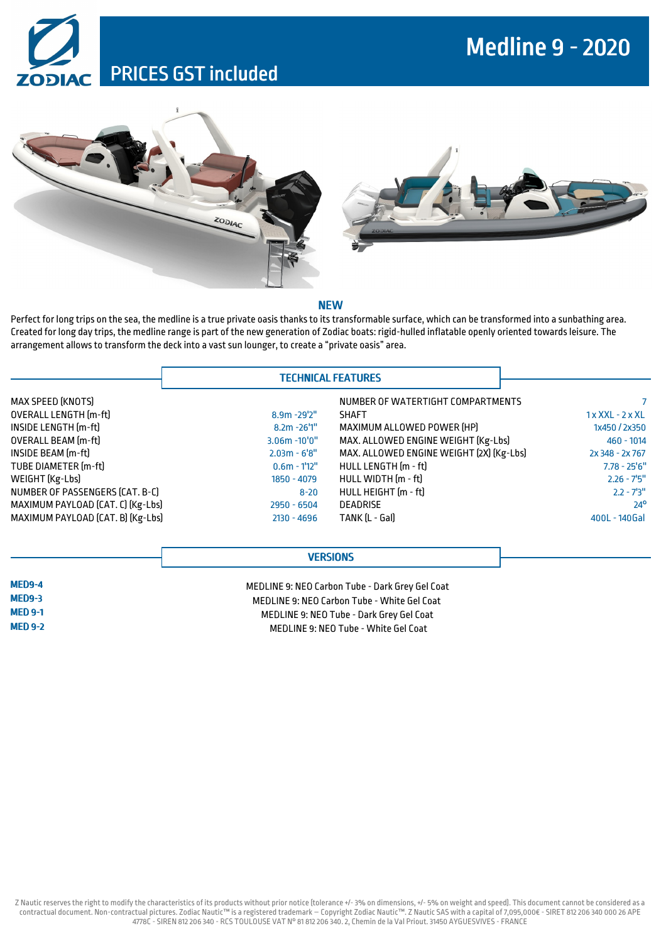# PRICES GST included





#### **NEW**

Perfect for long trips on the sea, the medline is a true private oasis thanks to its transformable surface, which can be transformed into a sunbathing area. Created for long day trips, the medline range is part of the new generation of Zodiac boats: rigid-hulled inflatable openly oriented towardsleisure. The arrangement allows to transform the deck into a vast sun lounger, to create a "private oasis" area.

#### TECHNICAL FEATURES

| MAX SPEED (KNOTS)                 |                  | NUMBER OF WATERTIGHT COMPARTMENTS        |                    |
|-----------------------------------|------------------|------------------------------------------|--------------------|
| OVERALL LENGTH [m-ft]             | $8.9m - 29'2''$  | <b>SHAFT</b>                             | $1x$ XXL - $2x$ XL |
| INSIDE LENGTH [m-ft]              | $8.2m - 26'1''$  | MAXIMUM ALLOWED POWER [HP]               | 1x450/2x350        |
| <b>OVERALL BEAM</b> [m-ft]        | $3.06m - 10'0''$ | MAX. ALLOWED ENGINE WEIGHT [Kg-Lbs]      | $460 - 1014$       |
| INSIDE BEAM (m-ft)                | $2.03m - 6'8''$  | MAX. ALLOWED ENGINE WEIGHT [2X] [Kg-Lbs] | 2x 348 - 2x 767    |
| TUBE DIAMETER [m-ft]              | $0.6m - 1'12''$  | HULL LENGTH [m - ft]                     | $7.78 - 25'6''$    |
| WEIGHT (Kg-Lbs)                   | 1850 - 4079      | HULL WIDTH [m - ft]                      | $2.26 - 7'5''$     |
| NUMBER OF PASSENGERS (CAT. B-C)   | $8 - 20$         | HULL HEIGHT (m - ft)                     | $2.2 - 7'3''$      |
| MAXIMUM PAYLOAD (CAT. C) (Kg-Lbs) | $2950 - 6504$    | <b>DEADRISE</b>                          | $24^\circ$         |
| MAXIMUM PAYLOAD [CAT. B] [Kg-Lbs] | $2130 - 4696$    | TANK (L - Gal)                           | 400L - 140Gal      |

#### **VERSIONS**

MED9-4 MED9-3 MED 9-1 MED 9-2

MEDLINE 9: NEO Carbon Tube - Dark Grey Gel Coat MEDLINE 9: NEO Carbon Tube - White Gel Coat MEDLINE 9: NEO Tube - Dark Grey Gel Coat MEDLINE 9: NEO Tube - White Gel Coat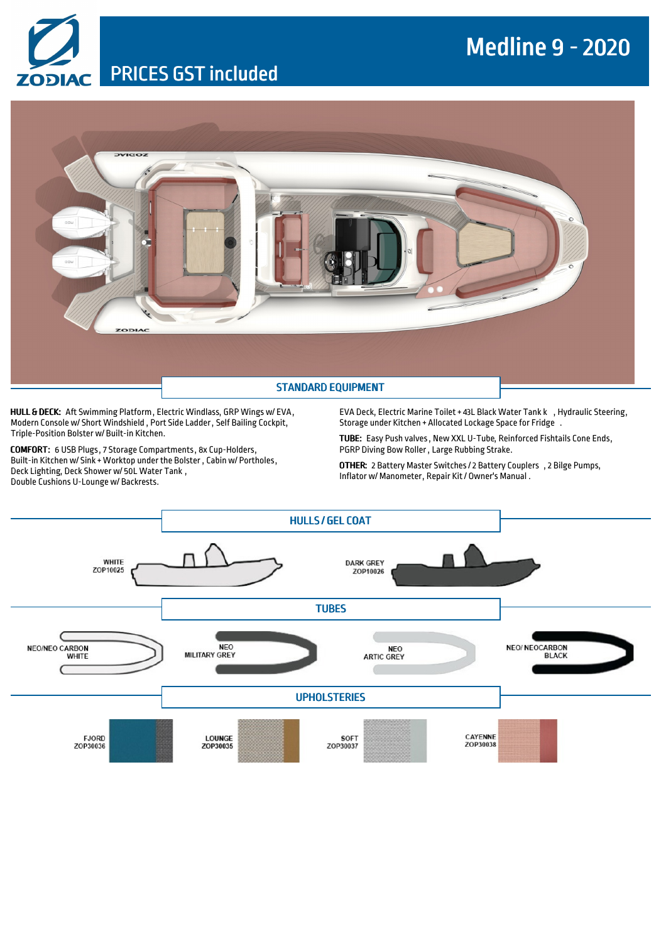### Medline 9 -2020

PRICES GST included



HULL & DECK: Aft Swimming Platform, Electric Windlass, GRP Wings w/ EVA, Modern Console w/ Short Windshield , Port Side Ladder, Self Bailing Cockpit, Triple-Position Bolster w/ Built-in Kitchen.

COMFORT: 6 USB Plugs, 7 Storage Compartments, 8x Cup-Holders, Built-in Kitchen w/ Sink + Worktop under the Bolster , Cabin w/ Portholes, Deck Lighting, Deck Shower w/ 50L Water Tank , Double Cushions U-Lounge w/ Backrests.

EVA Deck, Electric Marine Toilet+ 43L Black Water Tank k , Hydraulic Steering, Storage under Kitchen + Allocated Lockage Space for Fridge .

TUBE: Easy Push valves, New XXL U-Tube, Reinforced Fishtails Cone Ends, PGRP Diving Bow Roller, Large Rubbing Strake.

OTHER: 2 Battery Master Switches/2 Battery Couplers , 2 Bilge Pumps, Inflator w/ Manometer, Repair Kit / Owner's Manual .